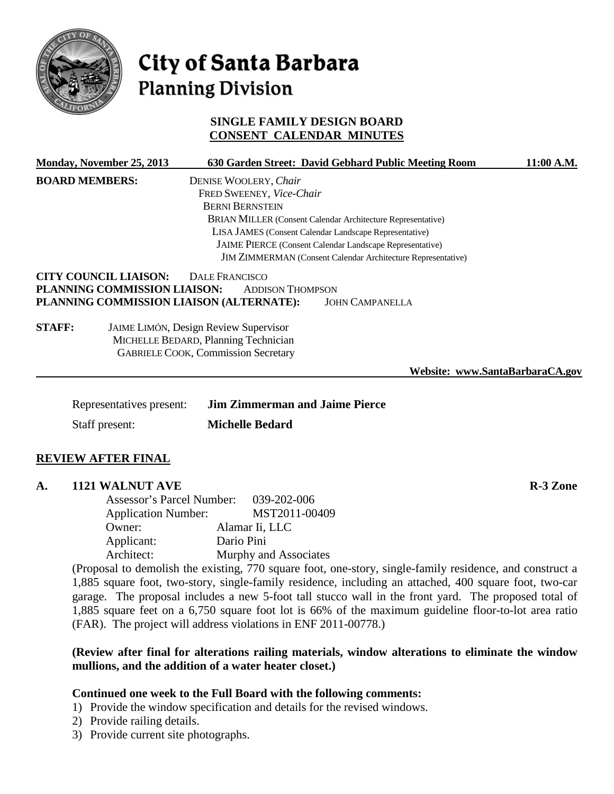

# City of Santa Barbara **Planning Division**

# **SINGLE FAMILY DESIGN BOARD CONSENT CALENDAR MINUTES**

| <b>Monday, November 25, 2013</b>                             | 630 Garden Street: David Gebhard Public Meeting Room                                                                               | 11:00 A.M.                      |  |
|--------------------------------------------------------------|------------------------------------------------------------------------------------------------------------------------------------|---------------------------------|--|
| <b>BOARD MEMBERS:</b>                                        | DENISE WOOLERY, Chair                                                                                                              |                                 |  |
|                                                              | FRED SWEENEY, Vice-Chair                                                                                                           |                                 |  |
|                                                              | <b>BERNI BERNSTEIN</b>                                                                                                             |                                 |  |
|                                                              | BRIAN MILLER (Consent Calendar Architecture Representative)                                                                        |                                 |  |
|                                                              | LISA JAMES (Consent Calendar Landscape Representative)                                                                             |                                 |  |
|                                                              | JAIME PIERCE (Consent Calendar Landscape Representative)                                                                           |                                 |  |
| JIM ZIMMERMAN (Consent Calendar Architecture Representative) |                                                                                                                                    |                                 |  |
| <b>CITY COUNCIL LIAISON:</b>                                 | DALE FRANCISCO                                                                                                                     |                                 |  |
| PLANNING COMMISSION LIAISON:                                 | <b>ADDISON THOMPSON</b>                                                                                                            |                                 |  |
| PLANNING COMMISSION LIAISON (ALTERNATE):                     | <b>JOHN CAMPANELLA</b>                                                                                                             |                                 |  |
| <b>STAFF:</b>                                                | <b>JAIME LIMÓN, Design Review Supervisor</b><br>MICHELLE BEDARD, Planning Technician<br><b>GABRIELE COOK, Commission Secretary</b> |                                 |  |
|                                                              |                                                                                                                                    | Website: www.SantaBarbaraCA.gov |  |
| Representatives present:                                     | <b>Jim Zimmerman and Jaime Pierce</b>                                                                                              |                                 |  |
| Staff present:                                               | <b>Michelle Bedard</b>                                                                                                             |                                 |  |
| <b>REVIEW AFTER FINAL</b>                                    |                                                                                                                                    |                                 |  |

# **A. 1121 WALNUT AVE R-3 Zone**

Assessor's Parcel Number: 039-202-006 Application Number: MST2011-00409 Owner: Alamar Ii, LLC Applicant: Dario Pini Architect: Murphy and Associates

(Proposal to demolish the existing, 770 square foot, one-story, single-family residence, and construct a 1,885 square foot, two-story, single-family residence, including an attached, 400 square foot, two-car garage. The proposal includes a new 5-foot tall stucco wall in the front yard. The proposed total of 1,885 square feet on a 6,750 square foot lot is 66% of the maximum guideline floor-to-lot area ratio (FAR). The project will address violations in ENF 2011-00778.)

# **(Review after final for alterations railing materials, window alterations to eliminate the window mullions, and the addition of a water heater closet.)**

# **Continued one week to the Full Board with the following comments:**

- 1) Provide the window specification and details for the revised windows.
- 2) Provide railing details.
- 3) Provide current site photographs.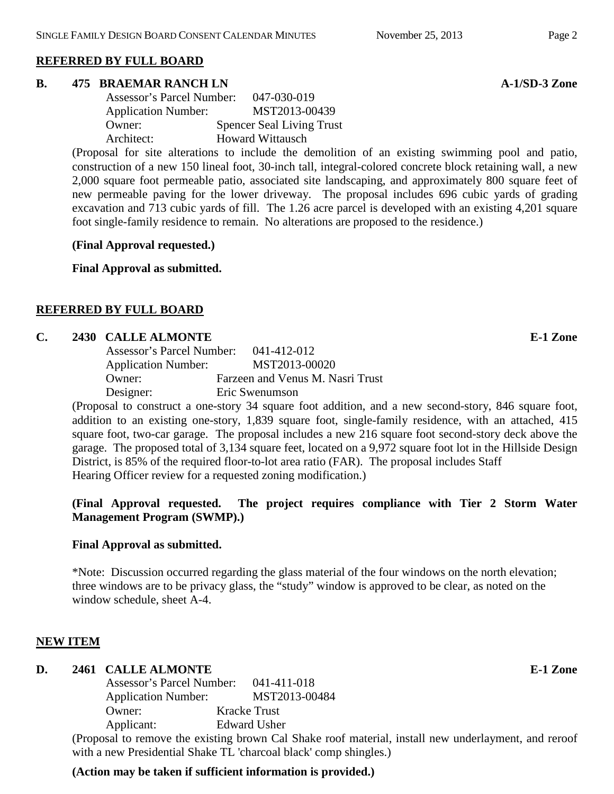# **REFERRED BY FULL BOARD**

#### **B. 475 BRAEMAR RANCH LN A-1/SD-3 Zone**

| Assessor's Parcel Number:  | 047-030-019                      |
|----------------------------|----------------------------------|
| <b>Application Number:</b> | MST2013-00439                    |
| Owner:                     | <b>Spencer Seal Living Trust</b> |
| Architect:                 | <b>Howard Wittausch</b>          |

(Proposal for site alterations to include the demolition of an existing swimming pool and patio, construction of a new 150 lineal foot, 30-inch tall, integral-colored concrete block retaining wall, a new 2,000 square foot permeable patio, associated site landscaping, and approximately 800 square feet of new permeable paving for the lower driveway. The proposal includes 696 cubic yards of grading excavation and 713 cubic yards of fill. The 1.26 acre parcel is developed with an existing 4,201 square foot single-family residence to remain. No alterations are proposed to the residence.)

**(Final Approval requested.)**

**Final Approval as submitted.**

# **REFERRED BY FULL BOARD**

#### **C. 2430 CALLE ALMONTE E-1 Zone**

| Assessor's Parcel Number:  | 041-412-012                      |
|----------------------------|----------------------------------|
| <b>Application Number:</b> | MST2013-00020                    |
| Owner:                     | Farzeen and Venus M. Nasri Trust |
| Designer:                  | Eric Swenumson                   |

(Proposal to construct a one-story 34 square foot addition, and a new second-story, 846 square foot, addition to an existing one-story, 1,839 square foot, single-family residence, with an attached, 415 square foot, two-car garage. The proposal includes a new 216 square foot second-story deck above the garage. The proposed total of 3,134 square feet, located on a 9,972 square foot lot in the Hillside Design District, is 85% of the required floor-to-lot area ratio (FAR). The proposal includes Staff Hearing Officer review for a requested zoning modification.)

# **(Final Approval requested. The project requires compliance with Tier 2 Storm Water Management Program (SWMP).)**

# **Final Approval as submitted.**

\*Note: Discussion occurred regarding the glass material of the four windows on the north elevation; three windows are to be privacy glass, the "study" window is approved to be clear, as noted on the window schedule, sheet A-4.

# **NEW ITEM**

#### **D. 2461 CALLE ALMONTE E-1 Zone**

| <b>Assessor's Parcel Number:</b> | 041-411-018         |
|----------------------------------|---------------------|
| <b>Application Number:</b>       | MST2013-00484       |
| Owner:                           | <b>Kracke Trust</b> |
| Applicant:                       | <b>Edward Usher</b> |
|                                  |                     |

(Proposal to remove the existing brown Cal Shake roof material, install new underlayment, and reroof with a new Presidential Shake TL 'charcoal black' comp shingles.)

# **(Action may be taken if sufficient information is provided.)**